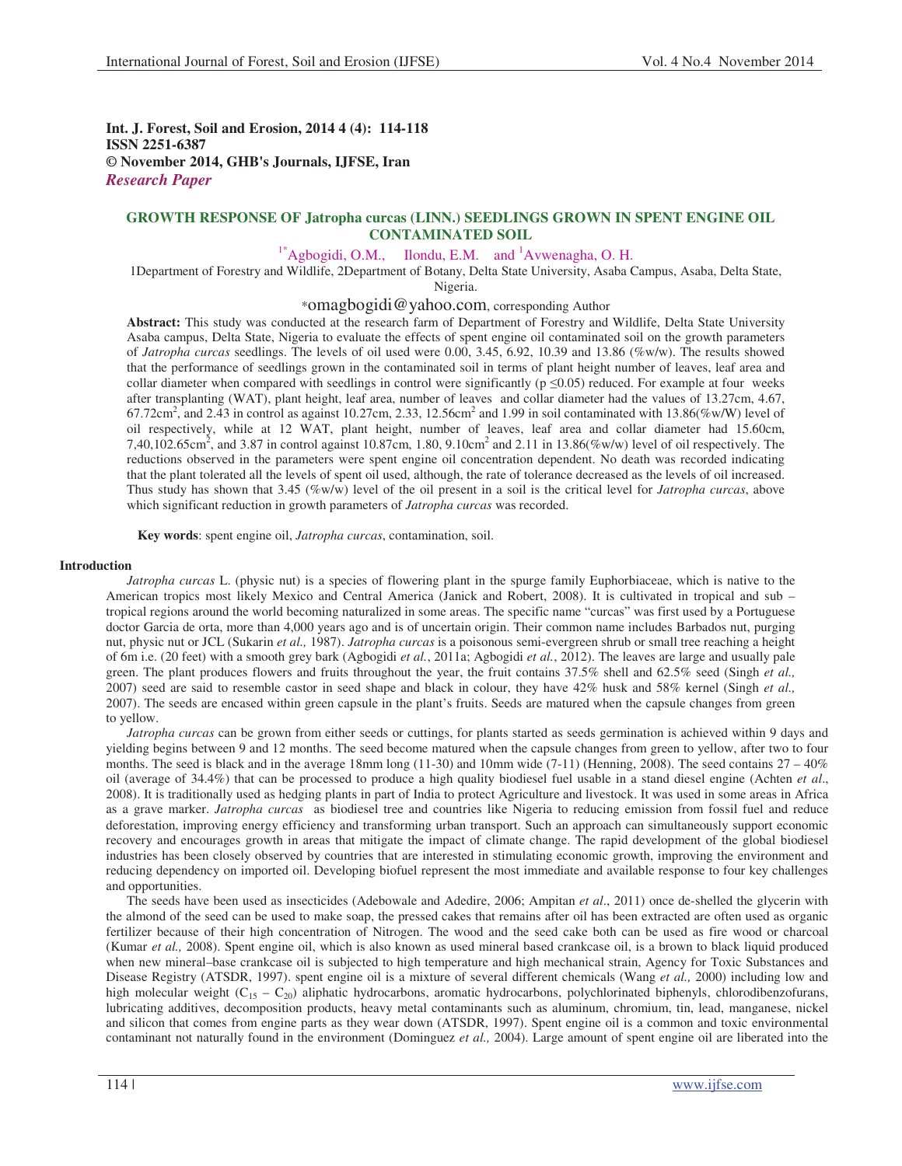**Int. J. Forest, Soil and Erosion, 2014 4 (4): 114-118 ISSN 2251-6387 © November 2014, GHB's Journals, IJFSE, Iran** *Research Paper*

# **GROWTH RESPONSE OF Jatropha curcas (LINN.) SEEDLINGS GROWN IN SPENT ENGINE OIL CONTAMINATED SOIL**

 $1*$ Agbogidi, O.M., Ilondu, E.M. and <sup>1</sup>Avwenagha, O. H.

1Department of Forestry and Wildlife, 2Department of Botany, Delta State University, Asaba Campus, Asaba, Delta State, Nigeria.

\*omagbogidi@yahoo.com, corresponding Author

**Abstract:** This study was conducted at the research farm of Department of Forestry and Wildlife, Delta State University Asaba campus, Delta State, Nigeria to evaluate the effects of spent engine oil contaminated soil on the growth parameters of *Jatropha curcas* seedlings. The levels of oil used were 0.00, 3.45, 6.92, 10.39 and 13.86 (%w/w). The results showed that the performance of seedlings grown in the contaminated soil in terms of plant height number of leaves, leaf area and collar diameter when compared with seedlings in control were significantly ( $p \le 0.05$ ) reduced. For example at four weeks after transplanting (WAT), plant height, leaf area, number of leaves and collar diameter had the values of 13.27cm, 4.67,  $67.72 \text{cm}^2$ , and  $2.\overline{43}$  in control as against 10.27cm, 2.33, 12.56cm<sup>2</sup> and 1.99 in soil contaminated with 13.86(%w/W) level of oil respectively, while at 12 WAT, plant height, number of leaves, leaf area and collar diameter had 15.60cm, 7,40,102.65cm<sup>2</sup>, and 3.87 in control against 10.87cm, 1.80, 9.10cm<sup>2</sup> and 2.11 in 13.86(%w/w) level of oil respectively. The reductions observed in the parameters were spent engine oil concentration dependent. No death was recorded indicating that the plant tolerated all the levels of spent oil used, although, the rate of tolerance decreased as the levels of oil increased. Thus study has shown that 3.45 (%w/w) level of the oil present in a soil is the critical level for *Jatropha curcas*, above which significant reduction in growth parameters of *Jatropha curcas* was recorded.

**Key words**: spent engine oil, *Jatropha curcas*, contamination, soil.

### **Introduction**

*Jatropha curcas* L. (physic nut) is a species of flowering plant in the spurge family Euphorbiaceae, which is native to the American tropics most likely Mexico and Central America (Janick and Robert, 2008). It is cultivated in tropical and sub – tropical regions around the world becoming naturalized in some areas. The specific name "curcas" was first used by a Portuguese doctor Garcia de orta, more than 4,000 years ago and is of uncertain origin. Their common name includes Barbados nut, purging nut, physic nut or JCL (Sukarin *et al.,* 1987). *Jatropha curcas* is a poisonous semi-evergreen shrub or small tree reaching a height of 6m i.e. (20 feet) with a smooth grey bark (Agbogidi *et al.*, 2011a; Agbogidi *et al.*, 2012). The leaves are large and usually pale green. The plant produces flowers and fruits throughout the year, the fruit contains 37.5% shell and 62.5% seed (Singh *et al.,* 2007) seed are said to resemble castor in seed shape and black in colour, they have 42% husk and 58% kernel (Singh *et al.,* 2007). The seeds are encased within green capsule in the plant's fruits. Seeds are matured when the capsule changes from green to yellow.

*Jatropha curcas* can be grown from either seeds or cuttings, for plants started as seeds germination is achieved within 9 days and yielding begins between 9 and 12 months. The seed become matured when the capsule changes from green to yellow, after two to four months. The seed is black and in the average 18mm long (11-30) and 10mm wide  $(7-11)$  (Henning, 2008). The seed contains  $27 - 40\%$ oil (average of 34.4%) that can be processed to produce a high quality biodiesel fuel usable in a stand diesel engine (Achten *et al*., 2008). It is traditionally used as hedging plants in part of India to protect Agriculture and livestock. It was used in some areas in Africa as a grave marker. *Jatropha curcas* as biodiesel tree and countries like Nigeria to reducing emission from fossil fuel and reduce deforestation, improving energy efficiency and transforming urban transport. Such an approach can simultaneously support economic recovery and encourages growth in areas that mitigate the impact of climate change. The rapid development of the global biodiesel industries has been closely observed by countries that are interested in stimulating economic growth, improving the environment and reducing dependency on imported oil. Developing biofuel represent the most immediate and available response to four key challenges and opportunities.

The seeds have been used as insecticides (Adebowale and Adedire, 2006; Ampitan *et al*., 2011) once de-shelled the glycerin with the almond of the seed can be used to make soap, the pressed cakes that remains after oil has been extracted are often used as organic fertilizer because of their high concentration of Nitrogen. The wood and the seed cake both can be used as fire wood or charcoal (Kumar *et al.,* 2008). Spent engine oil, which is also known as used mineral based crankcase oil, is a brown to black liquid produced when new mineral–base crankcase oil is subjected to high temperature and high mechanical strain, Agency for Toxic Substances and Disease Registry (ATSDR, 1997). spent engine oil is a mixture of several different chemicals (Wang *et al.,* 2000) including low and high molecular weight  $(C_{15} - C_{20})$  aliphatic hydrocarbons, aromatic hydrocarbons, polychlorinated biphenyls, chlorodibenzofurans, lubricating additives, decomposition products, heavy metal contaminants such as aluminum, chromium, tin, lead, manganese, nickel and silicon that comes from engine parts as they wear down (ATSDR, 1997). Spent engine oil is a common and toxic environmental contaminant not naturally found in the environment (Dominguez *et al.,* 2004). Large amount of spent engine oil are liberated into the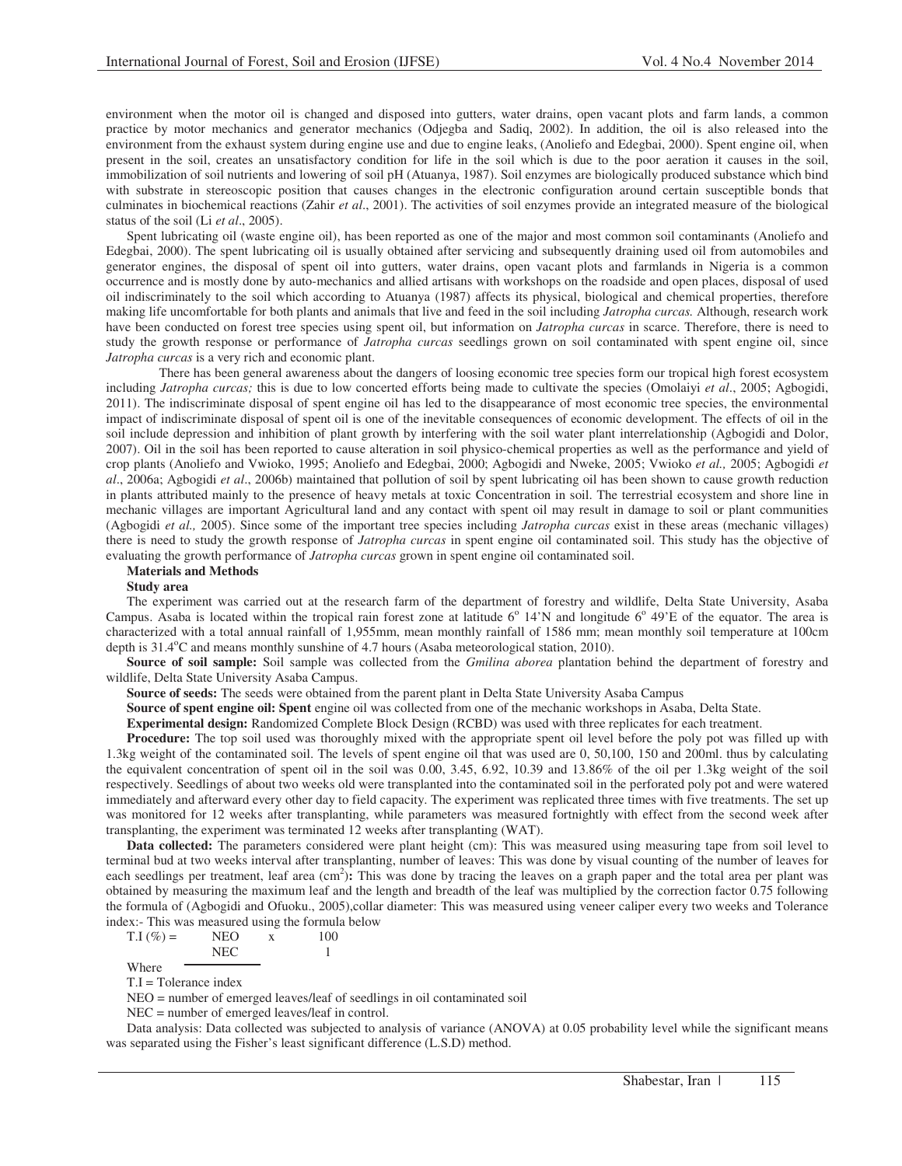environment when the motor oil is changed and disposed into gutters, water drains, open vacant plots and farm lands, a common practice by motor mechanics and generator mechanics (Odjegba and Sadiq, 2002). In addition, the oil is also released into the environment from the exhaust system during engine use and due to engine leaks, (Anoliefo and Edegbai, 2000). Spent engine oil, when present in the soil, creates an unsatisfactory condition for life in the soil which is due to the poor aeration it causes in the soil, immobilization of soil nutrients and lowering of soil pH (Atuanya, 1987). Soil enzymes are biologically produced substance which bind with substrate in stereoscopic position that causes changes in the electronic configuration around certain susceptible bonds that culminates in biochemical reactions (Zahir *et al*., 2001). The activities of soil enzymes provide an integrated measure of the biological status of the soil (Li *et al*., 2005).

Spent lubricating oil (waste engine oil), has been reported as one of the major and most common soil contaminants (Anoliefo and Edegbai, 2000). The spent lubricating oil is usually obtained after servicing and subsequently draining used oil from automobiles and generator engines, the disposal of spent oil into gutters, water drains, open vacant plots and farmlands in Nigeria is a common occurrence and is mostly done by auto-mechanics and allied artisans with workshops on the roadside and open places, disposal of used oil indiscriminately to the soil which according to Atuanya (1987) affects its physical, biological and chemical properties, therefore making life uncomfortable for both plants and animals that live and feed in the soil including *Jatropha curcas.* Although, research work have been conducted on forest tree species using spent oil, but information on *Jatropha curcas* in scarce. Therefore, there is need to study the growth response or performance of *Jatropha curcas* seedlings grown on soil contaminated with spent engine oil, since *Jatropha curcas* is a very rich and economic plant.

 There has been general awareness about the dangers of loosing economic tree species form our tropical high forest ecosystem including *Jatropha curcas;* this is due to low concerted efforts being made to cultivate the species (Omolaiyi *et al*., 2005; Agbogidi, 2011). The indiscriminate disposal of spent engine oil has led to the disappearance of most economic tree species, the environmental impact of indiscriminate disposal of spent oil is one of the inevitable consequences of economic development. The effects of oil in the soil include depression and inhibition of plant growth by interfering with the soil water plant interrelationship (Agbogidi and Dolor, 2007). Oil in the soil has been reported to cause alteration in soil physico-chemical properties as well as the performance and yield of crop plants (Anoliefo and Vwioko, 1995; Anoliefo and Edegbai, 2000; Agbogidi and Nweke, 2005; Vwioko *et al.,* 2005; Agbogidi *et al*., 2006a; Agbogidi *et al*., 2006b) maintained that pollution of soil by spent lubricating oil has been shown to cause growth reduction in plants attributed mainly to the presence of heavy metals at toxic Concentration in soil. The terrestrial ecosystem and shore line in mechanic villages are important Agricultural land and any contact with spent oil may result in damage to soil or plant communities (Agbogidi *et al.,* 2005). Since some of the important tree species including *Jatropha curcas* exist in these areas (mechanic villages) there is need to study the growth response of *Jatropha curcas* in spent engine oil contaminated soil. This study has the objective of evaluating the growth performance of *Jatropha curcas* grown in spent engine oil contaminated soil.

#### **Materials and Methods**

#### **Study area**

The experiment was carried out at the research farm of the department of forestry and wildlife, Delta State University, Asaba Campus. Asaba is located within the tropical rain forest zone at latitude  $6^{\circ}$  14'N and longitude  $6^{\circ}$  49'E of the equator. The area is characterized with a total annual rainfall of 1,955mm, mean monthly rainfall of 1586 mm; mean monthly soil temperature at 100cm depth is 31.4°C and means monthly sunshine of 4.7 hours (Asaba meteorological station, 2010).

**Source of soil sample:** Soil sample was collected from the *Gmilina aborea* plantation behind the department of forestry and wildlife, Delta State University Asaba Campus.

**Source of seeds:** The seeds were obtained from the parent plant in Delta State University Asaba Campus

**Source of spent engine oil: Spent** engine oil was collected from one of the mechanic workshops in Asaba, Delta State.

**Experimental design:** Randomized Complete Block Design (RCBD) was used with three replicates for each treatment.

**Procedure:** The top soil used was thoroughly mixed with the appropriate spent oil level before the poly pot was filled up with 1.3kg weight of the contaminated soil. The levels of spent engine oil that was used are 0, 50,100, 150 and 200ml. thus by calculating the equivalent concentration of spent oil in the soil was 0.00, 3.45, 6.92, 10.39 and 13.86% of the oil per 1.3kg weight of the soil respectively. Seedlings of about two weeks old were transplanted into the contaminated soil in the perforated poly pot and were watered immediately and afterward every other day to field capacity. The experiment was replicated three times with five treatments. The set up was monitored for 12 weeks after transplanting, while parameters was measured fortnightly with effect from the second week after transplanting, the experiment was terminated 12 weeks after transplanting (WAT).

**Data collected:** The parameters considered were plant height (cm): This was measured using measuring tape from soil level to terminal bud at two weeks interval after transplanting, number of leaves: This was done by visual counting of the number of leaves for each seedlings per treatment, leaf area (cm<sup>2</sup>): This was done by tracing the leaves on a graph paper and the total area per plant was obtained by measuring the maximum leaf and the length and breadth of the leaf was multiplied by the correction factor 0.75 following the formula of (Agbogidi and Ofuoku., 2005),collar diameter: This was measured using veneer caliper every two weeks and Tolerance index:- This was measured using the formula below

 $T.I (\%) = \qquad \text{NEO} \qquad x \qquad 100$ NEC 1 Where

T.I = Tolerance index

NEO = number of emerged leaves/leaf of seedlings in oil contaminated soil

NEC = number of emerged leaves/leaf in control.

Data analysis: Data collected was subjected to analysis of variance (ANOVA) at 0.05 probability level while the significant means was separated using the Fisher's least significant difference (L.S.D) method.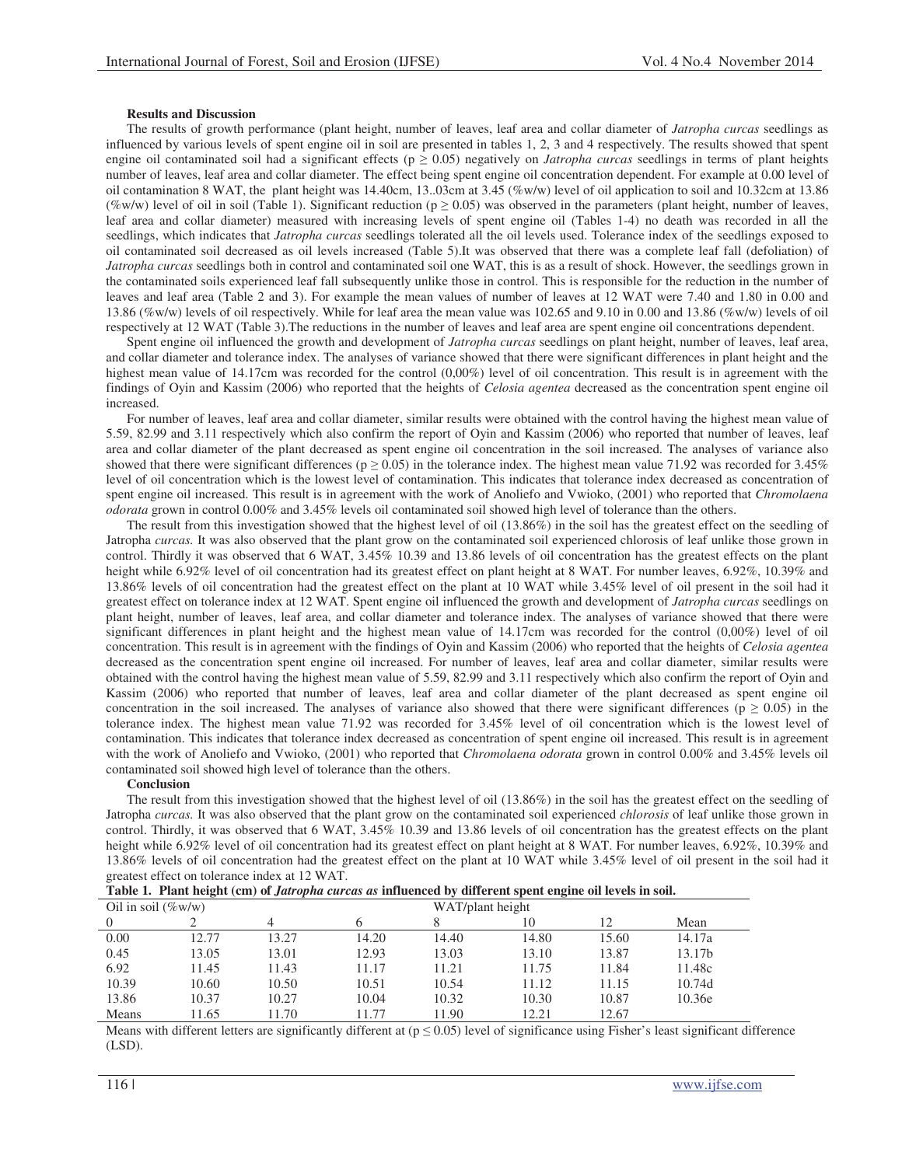# **Results and Discussion**

The results of growth performance (plant height, number of leaves, leaf area and collar diameter of *Jatropha curcas* seedlings as influenced by various levels of spent engine oil in soil are presented in tables 1, 2, 3 and 4 respectively. The results showed that spent engine oil contaminated soil had a significant effects ( $p \ge 0.05$ ) negatively on *Jatropha curcas* seedlings in terms of plant heights number of leaves, leaf area and collar diameter. The effect being spent engine oil concentration dependent. For example at 0.00 level of oil contamination 8 WAT, the plant height was 14.40cm, 13..03cm at 3.45 (%w/w) level of oil application to soil and 10.32cm at 13.86 (%w/w) level of oil in soil (Table 1). Significant reduction ( $p \ge 0.05$ ) was observed in the parameters (plant height, number of leaves, leaf area and collar diameter) measured with increasing levels of spent engine oil (Tables 1-4) no death was recorded in all the seedlings, which indicates that *Jatropha curcas* seedlings tolerated all the oil levels used. Tolerance index of the seedlings exposed to oil contaminated soil decreased as oil levels increased (Table 5).It was observed that there was a complete leaf fall (defoliation) of *Jatropha curcas* seedlings both in control and contaminated soil one WAT, this is as a result of shock. However, the seedlings grown in the contaminated soils experienced leaf fall subsequently unlike those in control. This is responsible for the reduction in the number of leaves and leaf area (Table 2 and 3). For example the mean values of number of leaves at 12 WAT were 7.40 and 1.80 in 0.00 and 13.86 (%w/w) levels of oil respectively. While for leaf area the mean value was 102.65 and 9.10 in 0.00 and 13.86 (%w/w) levels of oil respectively at 12 WAT (Table 3).The reductions in the number of leaves and leaf area are spent engine oil concentrations dependent.

Spent engine oil influenced the growth and development of *Jatropha curcas* seedlings on plant height, number of leaves, leaf area, and collar diameter and tolerance index. The analyses of variance showed that there were significant differences in plant height and the highest mean value of 14.17cm was recorded for the control (0,00%) level of oil concentration. This result is in agreement with the findings of Oyin and Kassim (2006) who reported that the heights of *Celosia agentea* decreased as the concentration spent engine oil increased.

For number of leaves, leaf area and collar diameter, similar results were obtained with the control having the highest mean value of 5.59, 82.99 and 3.11 respectively which also confirm the report of Oyin and Kassim (2006) who reported that number of leaves, leaf area and collar diameter of the plant decreased as spent engine oil concentration in the soil increased. The analyses of variance also showed that there were significant differences ( $p \ge 0.05$ ) in the tolerance index. The highest mean value 71.92 was recorded for 3.45% level of oil concentration which is the lowest level of contamination. This indicates that tolerance index decreased as concentration of spent engine oil increased. This result is in agreement with the work of Anoliefo and Vwioko, (2001) who reported that *Chromolaena odorata* grown in control 0.00% and 3.45% levels oil contaminated soil showed high level of tolerance than the others.

The result from this investigation showed that the highest level of oil (13.86%) in the soil has the greatest effect on the seedling of Jatropha *curcas.* It was also observed that the plant grow on the contaminated soil experienced chlorosis of leaf unlike those grown in control. Thirdly it was observed that 6 WAT, 3.45% 10.39 and 13.86 levels of oil concentration has the greatest effects on the plant height while 6.92% level of oil concentration had its greatest effect on plant height at 8 WAT. For number leaves, 6.92%, 10.39% and 13.86% levels of oil concentration had the greatest effect on the plant at 10 WAT while 3.45% level of oil present in the soil had it greatest effect on tolerance index at 12 WAT. Spent engine oil influenced the growth and development of *Jatropha curcas* seedlings on plant height, number of leaves, leaf area, and collar diameter and tolerance index. The analyses of variance showed that there were significant differences in plant height and the highest mean value of 14.17cm was recorded for the control (0,00%) level of oil concentration. This result is in agreement with the findings of Oyin and Kassim (2006) who reported that the heights of *Celosia agentea* decreased as the concentration spent engine oil increased. For number of leaves, leaf area and collar diameter, similar results were obtained with the control having the highest mean value of 5.59, 82.99 and 3.11 respectively which also confirm the report of Oyin and Kassim (2006) who reported that number of leaves, leaf area and collar diameter of the plant decreased as spent engine oil concentration in the soil increased. The analyses of variance also showed that there were significant differences ( $p \ge 0.05$ ) in the tolerance index. The highest mean value 71.92 was recorded for 3.45% level of oil concentration which is the lowest level of contamination. This indicates that tolerance index decreased as concentration of spent engine oil increased. This result is in agreement with the work of Anoliefo and Vwioko, (2001) who reported that *Chromolaena odorata* grown in control 0.00% and 3.45% levels oil contaminated soil showed high level of tolerance than the others.

### **Conclusion**

The result from this investigation showed that the highest level of oil (13.86%) in the soil has the greatest effect on the seedling of Jatropha *curcas.* It was also observed that the plant grow on the contaminated soil experienced *chlorosis* of leaf unlike those grown in control. Thirdly, it was observed that 6 WAT, 3.45% 10.39 and 13.86 levels of oil concentration has the greatest effects on the plant height while 6.92% level of oil concentration had its greatest effect on plant height at 8 WAT. For number leaves, 6.92%, 10.39% and 13.86% levels of oil concentration had the greatest effect on the plant at 10 WAT while 3.45% level of oil present in the soil had it greatest effect on tolerance index at 12 WAT.

|  |  |  |  | Table 1. Plant height (cm) of <i>Jatropha curcas as</i> influenced by different spent engine oil levels in soil. |
|--|--|--|--|------------------------------------------------------------------------------------------------------------------|
|--|--|--|--|------------------------------------------------------------------------------------------------------------------|

| Oil in soil $(\%w/w)$ |       |       |       |       | WAT/plant height |       |        |  |  |  |
|-----------------------|-------|-------|-------|-------|------------------|-------|--------|--|--|--|
| $\overline{0}$        |       |       |       |       | 10               | 12    | Mean   |  |  |  |
| 0.00                  | 12.77 | 13.27 | 14.20 | 14.40 | 14.80            | 15.60 | 14.17a |  |  |  |
| 0.45                  | 13.05 | 13.01 | 12.93 | 13.03 | 13.10            | 13.87 | 13.17b |  |  |  |
| 6.92                  | 11.45 | 11.43 | 11.17 | 11.21 | 11.75            | 11.84 | 11.48c |  |  |  |
| 10.39                 | 10.60 | 10.50 | 10.51 | 10.54 | 11.12            | 11.15 | 10.74d |  |  |  |
| 13.86                 | 10.37 | 10.27 | 10.04 | 10.32 | 10.30            | 10.87 | 10.36e |  |  |  |
| Means                 | 1.65  | 1.70  | 11 77 | 1.90  | 12.21            | 12.67 |        |  |  |  |

Means with different letters are significantly different at  $(p \le 0.05)$  level of significance using Fisher's least significant difference (LSD).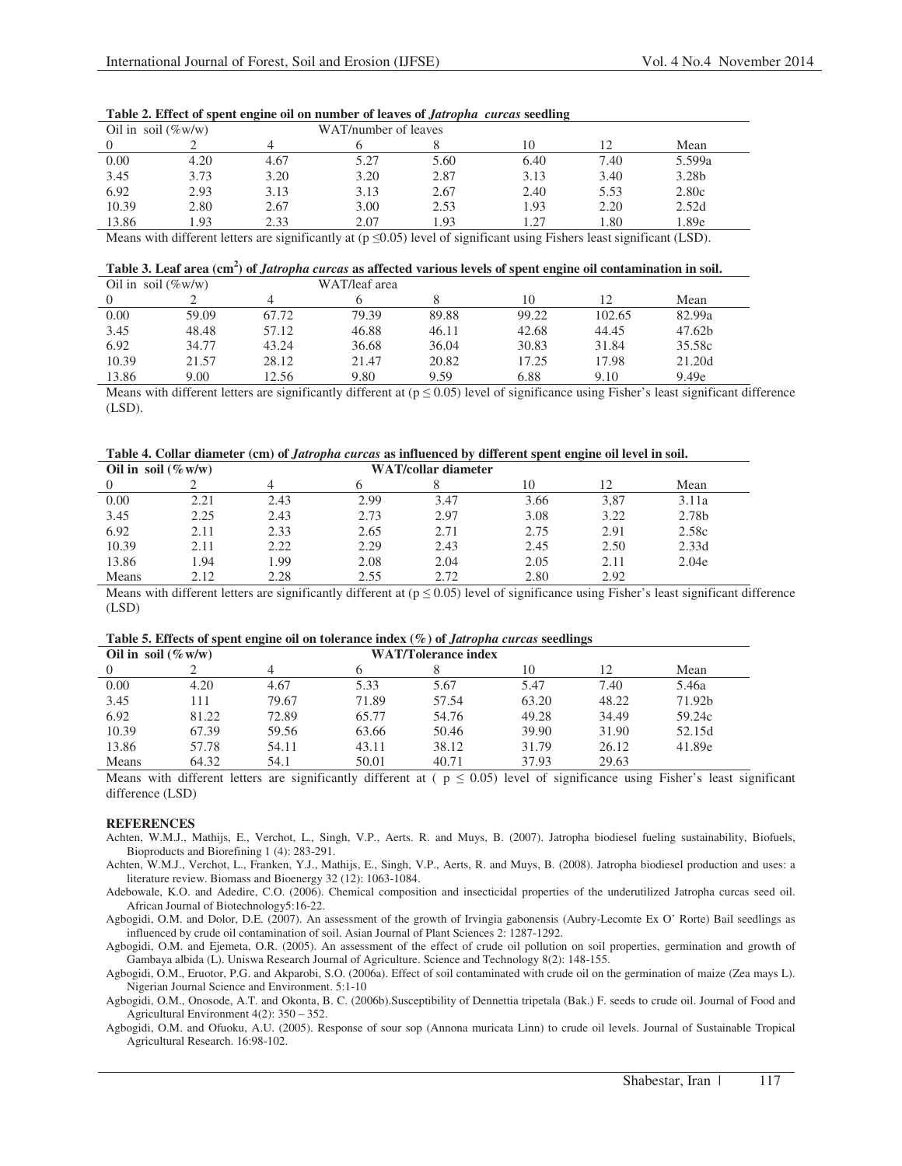| Oil in soil $(\%w/w)$ |      |      | WAT/number of leaves |      |      |      |        |  |
|-----------------------|------|------|----------------------|------|------|------|--------|--|
|                       |      |      |                      |      | 10   |      | Mean   |  |
| 0.00                  | 4.20 | 4.67 | 5.27                 | 5.60 | 6.40 | 7.40 | 5.599a |  |
| 3.45                  | 3.73 | 3.20 | 3.20                 | 2.87 | 3.13 | 3.40 | 3.28b  |  |
| 6.92                  | 2.93 | 3.13 | 3.13                 | 2.67 | 2.40 | 5.53 | 2.80c  |  |
| 10.39                 | 2.80 | 2.67 | 3.00                 | 2.53 | 1.93 | 2.20 | 2.52d  |  |
| 13.86                 | .93  | 2.33 | 2.07                 | .93  | 1.27 | 1.80 | 1.89e  |  |

|  |  |  |  | Table 2. Effect of spent engine oil on number of leaves of Jatropha curcas seedling |
|--|--|--|--|-------------------------------------------------------------------------------------|
|--|--|--|--|-------------------------------------------------------------------------------------|

Means with different letters are significantly at  $(p \le 0.05)$  level of significant using Fishers least significant (LSD).

**Table 3. Leaf area (cm<sup>2</sup> ) of** *Jatropha curcas* **as affected various levels of spent engine oil contamination in soil.** 

| Oil in soil $(\%w/w)$ |       |       | WAT/leaf area |       |       |        |        |
|-----------------------|-------|-------|---------------|-------|-------|--------|--------|
|                       |       |       |               |       | 10    |        | Mean   |
| 0.00                  | 59.09 | 67.72 | 79.39         | 89.88 | 99.22 | 102.65 | 82.99a |
| 3.45                  | 48.48 | 57.12 | 46.88         | 46.11 | 42.68 | 44.45  | 47.62b |
| 6.92                  | 34.77 | 43.24 | 36.68         | 36.04 | 30.83 | 31.84  | 35.58c |
| 10.39                 | 21.57 | 28.12 | 21.47         | 20.82 | 17.25 | 17.98  | 21.20d |
| 13.86                 | 9.00  | 12.56 | 9.80          | 9.59  | 6.88  | 9.10   | 9.49e  |

Means with different letters are significantly different at  $(p \le 0.05)$  level of significance using Fisher's least significant difference (LSD).

**Table 4. Collar diameter (cm) of** *Jatropha curcas* **as influenced by different spent engine oil level in soil.** 

| Oil in soil $(\% w/w)$ |      |      |      | WAT/collar diameter |      |      |       |
|------------------------|------|------|------|---------------------|------|------|-------|
|                        |      |      |      |                     | 10   | 12   | Mean  |
| 0.00                   | 2.21 | 2.43 | 2.99 | 3.47                | 3.66 | 3,87 | 3.11a |
| 3.45                   | 2.25 | 2.43 | 2.73 | 2.97                | 3.08 | 3.22 | 2.78b |
| 6.92                   | 2.11 | 2.33 | 2.65 | 2.71                | 2.75 | 2.91 | 2.58c |
| 10.39                  | 2.11 | 2.22 | 2.29 | 2.43                | 2.45 | 2.50 | 2.33d |
| 13.86                  | .94  | . 99 | 2.08 | 2.04                | 2.05 | 2.11 | 2.04e |
| Means                  | 2.12 | 2.28 | 2.55 | 2.72                | 2.80 | 2.92 |       |

Means with different letters are significantly different at  $(p \le 0.05)$  level of significance using Fisher's least significant difference (LSD)

|  |  |  |  |  | Table 5. Effects of spent engine oil on tolerance index $(\%)$ of <i>Jatropha curcas</i> seedlings |
|--|--|--|--|--|----------------------------------------------------------------------------------------------------|
|  |  |  |  |  |                                                                                                    |

| Oil in soil $(\% w/w)$ |       | $\sim$ |       | <b>WAT/Tolerance index</b> |       | $\sim$ |        |
|------------------------|-------|--------|-------|----------------------------|-------|--------|--------|
| $\Omega$               |       |        | n     |                            | 10    | 12     | Mean   |
| 0.00                   | 4.20  | 4.67   | 5.33  | 5.67                       | 5.47  | 7.40   | 5.46a  |
| 3.45                   | 11    | 79.67  | 71.89 | 57.54                      | 63.20 | 48.22  | 71.92b |
| 6.92                   | 81.22 | 72.89  | 65.77 | 54.76                      | 49.28 | 34.49  | 59.24c |
| 10.39                  | 67.39 | 59.56  | 63.66 | 50.46                      | 39.90 | 31.90  | 52.15d |
| 13.86                  | 57.78 | 54.11  | 43.11 | 38.12                      | 31.79 | 26.12  | 41.89e |
| Means                  | 64.32 | 54.1   | 50.01 | 40.71                      | 37.93 | 29.63  |        |

Means with different letters are significantly different at ( $p \le 0.05$ ) level of significance using Fisher's least significant difference (LSD)

## **REFERENCES**

Achten, W.M.J., Mathijs, E., Verchot, L., Singh, V.P., Aerts. R. and Muys, B. (2007). Jatropha biodiesel fueling sustainability, Biofuels, Bioproducts and Biorefining 1 (4): 283-291.

Achten, W.M.J., Verchot, L., Franken, Y.J., Mathijs, E., Singh, V.P., Aerts, R. and Muys, B. (2008). Jatropha biodiesel production and uses: a literature review. Biomass and Bioenergy 32 (12): 1063-1084.

Adebowale, K.O. and Adedire, C.O. (2006). Chemical composition and insecticidal properties of the underutilized Jatropha curcas seed oil. African Journal of Biotechnology5:16-22.

Agbogidi, O.M. and Dolor, D.E. (2007). An assessment of the growth of Irvingia gabonensis (Aubry-Lecomte Ex O' Rorte) Bail seedlings as influenced by crude oil contamination of soil. Asian Journal of Plant Sciences 2: 1287-1292.

Agbogidi, O.M. and Ejemeta, O.R. (2005). An assessment of the effect of crude oil pollution on soil properties, germination and growth of Gambaya albida (L). Uniswa Research Journal of Agriculture. Science and Technology 8(2): 148-155.

Agbogidi, O.M., Eruotor, P.G. and Akparobi, S.O. (2006a). Effect of soil contaminated with crude oil on the germination of maize (Zea mays L). Nigerian Journal Science and Environment. 5:1-10

Agbogidi, O.M., Onosode, A.T. and Okonta, B. C. (2006b).Susceptibility of Dennettia tripetala (Bak.) F. seeds to crude oil. Journal of Food and Agricultural Environment 4(2): 350 – 352.

Agbogidi, O.M. and Ofuoku, A.U. (2005). Response of sour sop (Annona muricata Linn) to crude oil levels. Journal of Sustainable Tropical Agricultural Research. 16:98-102.